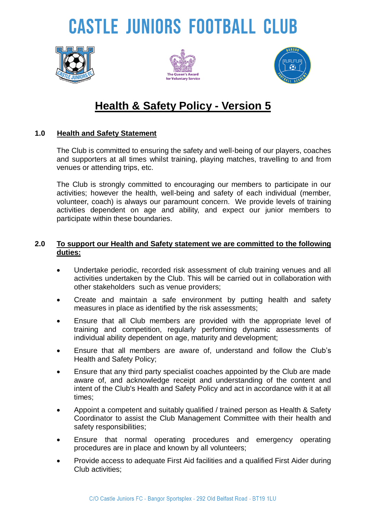# **CASTLE JUNIORS FOOTBALL CLUB**







### **Health & Safety Policy - Version 5**

#### **1.0 Health and Safety Statement**

The Club is committed to ensuring the safety and well-being of our players, coaches and supporters at all times whilst training, playing matches, travelling to and from venues or attending trips, etc.

The Club is strongly committed to encouraging our members to participate in our activities; however the health, well-being and safety of each individual (member, volunteer, coach) is always our paramount concern. We provide levels of training activities dependent on age and ability, and expect our junior members to participate within these boundaries.

#### **2.0 To support our Health and Safety statement we are committed to the following duties:**

- Undertake periodic, recorded risk assessment of club training venues and all activities undertaken by the Club. This will be carried out in collaboration with other stakeholders such as venue providers;
- Create and maintain a safe environment by putting health and safety measures in place as identified by the risk assessments;
- Ensure that all Club members are provided with the appropriate level of training and competition, regularly performing dynamic assessments of individual ability dependent on age, maturity and development;
- Ensure that all members are aware of, understand and follow the Club's Health and Safety Policy;
- Ensure that any third party specialist coaches appointed by the Club are made aware of, and acknowledge receipt and understanding of the content and intent of the Club's Health and Safety Policy and act in accordance with it at all times;
- Appoint a competent and suitably qualified / trained person as Health & Safety Coordinator to assist the Club Management Committee with their health and safety responsibilities;
- Ensure that normal operating procedures and emergency operating procedures are in place and known by all volunteers;
- Provide access to adequate First Aid facilities and a qualified First Aider during Club activities;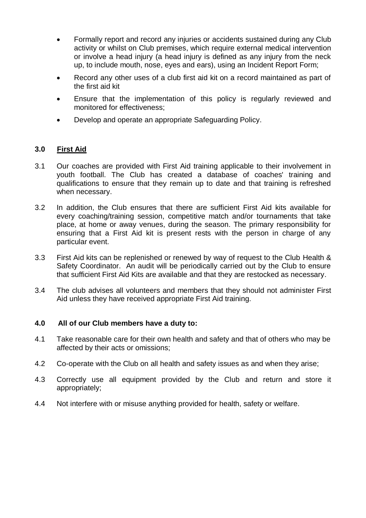- Formally report and record any injuries or accidents sustained during any Club activity or whilst on Club premises, which require external medical intervention or involve a head injury (a head injury is defined as any injury from the neck up, to include mouth, nose, eyes and ears), using an Incident Report Form;
- Record any other uses of a club first aid kit on a record maintained as part of the first aid kit
- Ensure that the implementation of this policy is regularly reviewed and monitored for effectiveness;
- Develop and operate an appropriate Safeguarding Policy.

#### **3.0 First Aid**

- 3.1 Our coaches are provided with First Aid training applicable to their involvement in youth football. The Club has created a database of coaches' training and qualifications to ensure that they remain up to date and that training is refreshed when necessary.
- 3.2 In addition, the Club ensures that there are sufficient First Aid kits available for every coaching/training session, competitive match and/or tournaments that take place, at home or away venues, during the season. The primary responsibility for ensuring that a First Aid kit is present rests with the person in charge of any particular event.
- 3.3 First Aid kits can be replenished or renewed by way of request to the Club Health & Safety Coordinator. An audit will be periodically carried out by the Club to ensure that sufficient First Aid Kits are available and that they are restocked as necessary.
- 3.4 The club advises all volunteers and members that they should not administer First Aid unless they have received appropriate First Aid training.

#### **4.0 All of our Club members have a duty to:**

- 4.1 Take reasonable care for their own health and safety and that of others who may be affected by their acts or omissions;
- 4.2 Co-operate with the Club on all health and safety issues as and when they arise;
- 4.3 Correctly use all equipment provided by the Club and return and store it appropriately;
- 4.4 Not interfere with or misuse anything provided for health, safety or welfare.